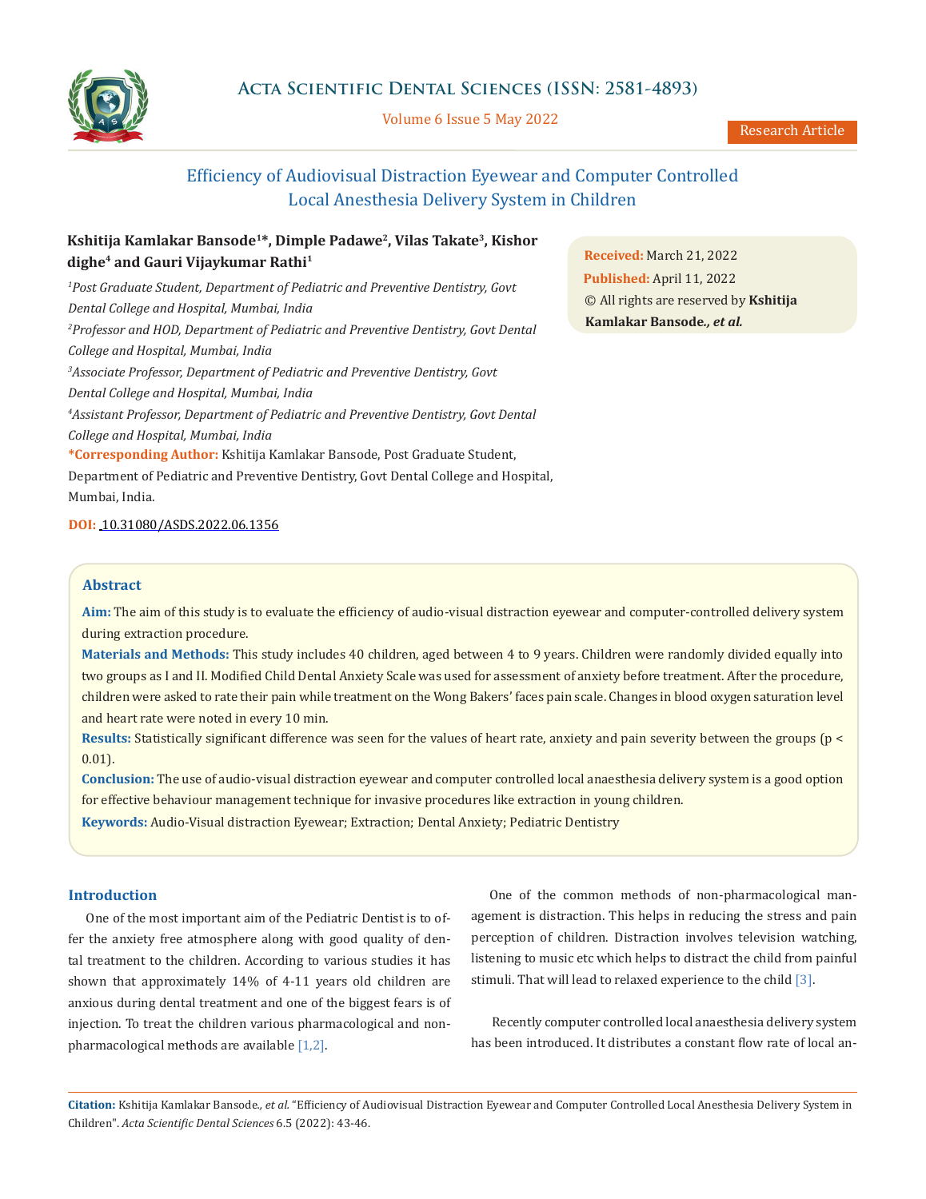

Volume 6 Issue 5 May 2022

Research Article

# Efficiency of Audiovisual Distraction Eyewear and Computer Controlled Local Anesthesia Delivery System in Children

## **Kshitija Kamlakar Bansode1\*, Dimple Padawe2, Vilas Takate3, Kishor dighe4 and Gauri Vijaykumar Rathi1**

*1 Post Graduate Student, Department of Pediatric and Preventive Dentistry, Govt Dental College and Hospital, Mumbai, India 2 Professor and HOD, Department of Pediatric and Preventive Dentistry, Govt Dental College and Hospital, Mumbai, India 3 Associate Professor, Department of Pediatric and Preventive Dentistry, Govt Dental College and Hospital, Mumbai, India 4 Assistant Professor, Department of Pediatric and Preventive Dentistry, Govt Dental College and Hospital, Mumbai, India* **\*Corresponding Author:** Kshitija Kamlakar Bansode, Post Graduate Student, Department of Pediatric and Preventive Dentistry, Govt Dental College and Hospital, Mumbai, India.

**DOI:** [10.31080/ASDS.2022.06.1356](https://actascientific.com/ASDS/pdf/ASDS-06-1356.pdf)

## **Abstract**

**Aim:** The aim of this study is to evaluate the efficiency of audio-visual distraction eyewear and computer-controlled delivery system during extraction procedure.

**Materials and Methods:** This study includes 40 children, aged between 4 to 9 years. Children were randomly divided equally into two groups as I and II. Modified Child Dental Anxiety Scale was used for assessment of anxiety before treatment. After the procedure, children were asked to rate their pain while treatment on the Wong Bakers' faces pain scale. Changes in blood oxygen saturation level and heart rate were noted in every 10 min.

**Results:** Statistically significant difference was seen for the values of heart rate, anxiety and pain severity between the groups (p < 0.01).

**Conclusion:** The use of audio-visual distraction eyewear and computer controlled local anaesthesia delivery system is a good option for effective behaviour management technique for invasive procedures like extraction in young children.

**Keywords:** Audio-Visual distraction Eyewear; Extraction; Dental Anxiety; Pediatric Dentistry

## **Introduction**

One of the most important aim of the Pediatric Dentist is to offer the anxiety free atmosphere along with good quality of dental treatment to the children. According to various studies it has shown that approximately 14% of 4-11 years old children are anxious during dental treatment and one of the biggest fears is of injection. To treat the children various pharmacological and nonpharmacological methods are available [1,2].

One of the common methods of non-pharmacological management is distraction. This helps in reducing the stress and pain perception of children. Distraction involves television watching, listening to music etc which helps to distract the child from painful stimuli. That will lead to relaxed experience to the child [3].

 Recently computer controlled local anaesthesia delivery system has been introduced. It distributes a constant flow rate of local an-

**Citation:** Kshitija Kamlakar Bansode*., et al.* "Efficiency of Audiovisual Distraction Eyewear and Computer Controlled Local Anesthesia Delivery System in Children". *Acta Scientific Dental Sciences* 6.5 (2022): 43-46.

**Received:** March 21, 2022 **Published:** April 11, 2022 © All rights are reserved by **Kshitija Kamlakar Bansode***., et al.*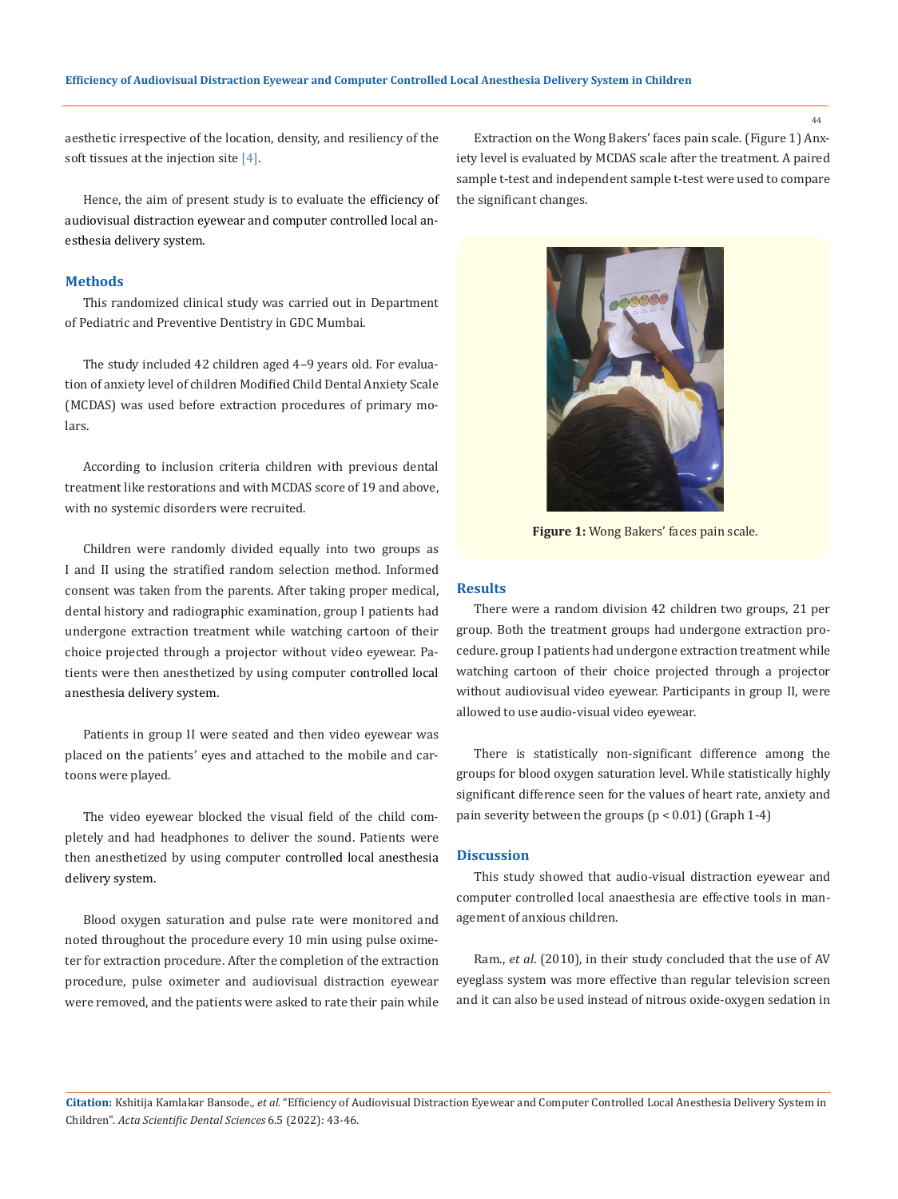aesthetic irrespective of the location, density, and resiliency of the soft tissues at the injection site [4].

Hence, the aim of present study is to evaluate the efficiency of audiovisual distraction eyewear and computer controlled local anesthesia delivery system.

#### **Methods**

This randomized clinical study was carried out in Department of Pediatric and Preventive Dentistry in GDC Mumbai.

The study included 42 children aged 4–9 years old. For evaluation of anxiety level of children Modified Child Dental Anxiety Scale (MCDAS) was used before extraction procedures of primary molars.

According to inclusion criteria children with previous dental treatment like restorations and with MCDAS score of 19 and above, with no systemic disorders were recruited.

Children were randomly divided equally into two groups as I and II using the stratified random selection method. Informed consent was taken from the parents. After taking proper medical, dental history and radiographic examination, group I patients had undergone extraction treatment while watching cartoon of their choice projected through a projector without video eyewear. Patients were then anesthetized by using computer controlled local anesthesia delivery system.

Patients in group II were seated and then video eyewear was placed on the patients' eyes and attached to the mobile and cartoons were played.

The video eyewear blocked the visual field of the child completely and had headphones to deliver the sound. Patients were then anesthetized by using computer controlled local anesthesia delivery system.

Blood oxygen saturation and pulse rate were monitored and noted throughout the procedure every 10 min using pulse oximeter for extraction procedure. After the completion of the extraction procedure, pulse oximeter and audiovisual distraction eyewear were removed, and the patients were asked to rate their pain while

Extraction on the Wong Bakers' faces pain scale. (Figure 1) Anxiety level is evaluated by MCDAS scale after the treatment. A paired sample t-test and independent sample t-test were used to compare the significant changes.



**Figure 1:** Wong Bakers' faces pain scale.

#### **Results**

There were a random division 42 children two groups, 21 per group. Both the treatment groups had undergone extraction procedure. group I patients had undergone extraction treatment while watching cartoon of their choice projected through a projector without audiovisual video eyewear. Participants in group II, were allowed to use audio-visual video eyewear.

There is statistically non-significant difference among the groups for blood oxygen saturation level. While statistically highly significant difference seen for the values of heart rate, anxiety and pain severity between the groups (p < 0.01) (Graph 1-4)

#### **Discussion**

This study showed that audio-visual distraction eyewear and computer controlled local anaesthesia are effective tools in management of anxious children.

Ram., *et al*. (2010), in their study concluded that the use of AV eyeglass system was more effective than regular television screen and it can also be used instead of nitrous oxide-oxygen sedation in

**Citation:** Kshitija Kamlakar Bansode*., et al.* "Efficiency of Audiovisual Distraction Eyewear and Computer Controlled Local Anesthesia Delivery System in Children". *Acta Scientific Dental Sciences* 6.5 (2022): 43-46.

44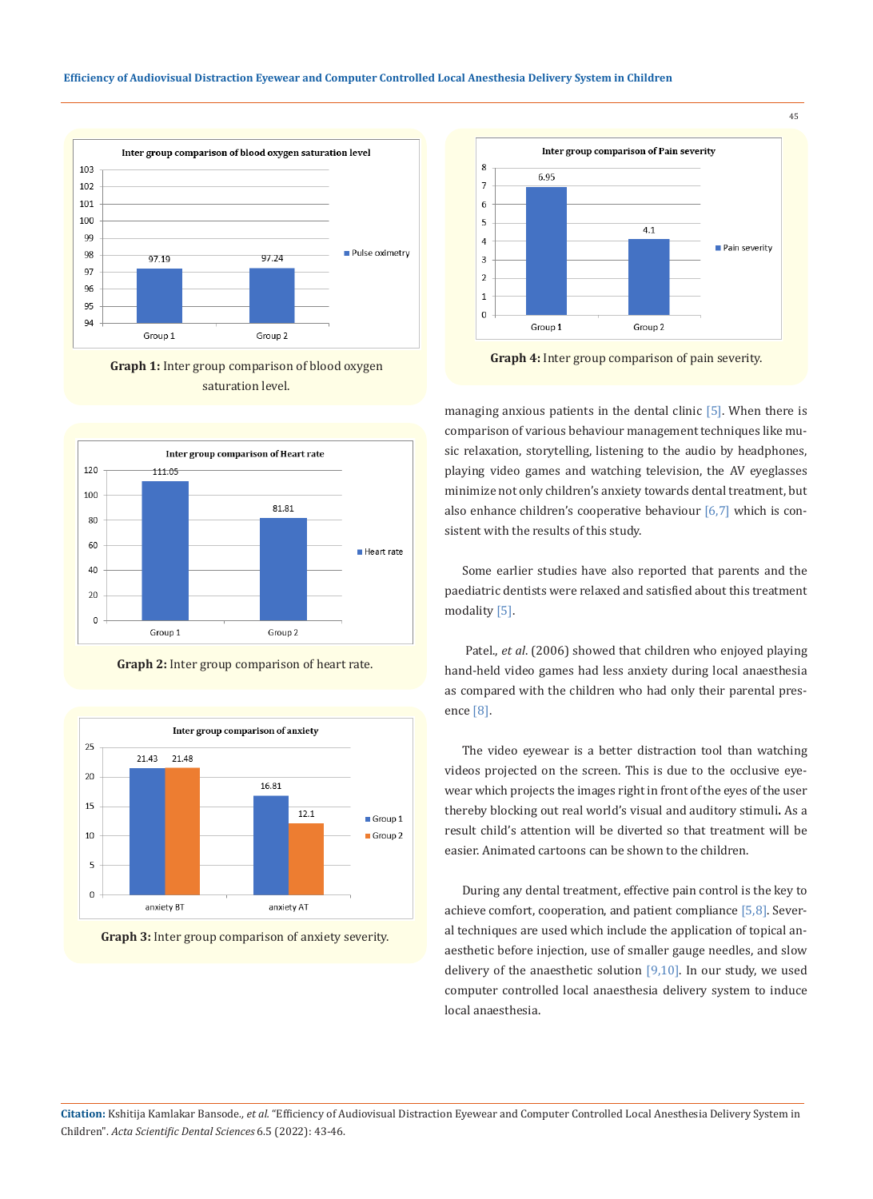















45

**Graph 4:** Inter group comparison of pain severity.

managing anxious patients in the dental clinic [5]. When there is comparison of various behaviour management techniques like music relaxation, storytelling, listening to the audio by headphones, playing video games and watching television, the AV eyeglasses minimize not only children's anxiety towards dental treatment, but also enhance children's cooperative behaviour  $[6,7]$  which is consistent with the results of this study.

Some earlier studies have also reported that parents and the paediatric dentists were relaxed and satisfied about this treatment modality [5].

 Patel., *et al*. (2006) showed that children who enjoyed playing hand-held video games had less anxiety during local anaesthesia as compared with the children who had only their parental presence [8].

The video eyewear is a better distraction tool than watching videos projected on the screen. This is due to the occlusive eyewear which projects the images right in front of the eyes of the user thereby blocking out real world's visual and auditory stimuli**.** As a result child's attention will be diverted so that treatment will be easier. Animated cartoons can be shown to the children.

During any dental treatment, effective pain control is the key to achieve comfort, cooperation, and patient compliance [5,8]. Several techniques are used which include the application of topical anaesthetic before injection, use of smaller gauge needles, and slow delivery of the anaesthetic solution  $[9,10]$ . In our study, we used computer controlled local anaesthesia delivery system to induce local anaesthesia.

**Citation:** Kshitija Kamlakar Bansode*., et al.* "Efficiency of Audiovisual Distraction Eyewear and Computer Controlled Local Anesthesia Delivery System in Children". *Acta Scientific Dental Sciences* 6.5 (2022): 43-46.